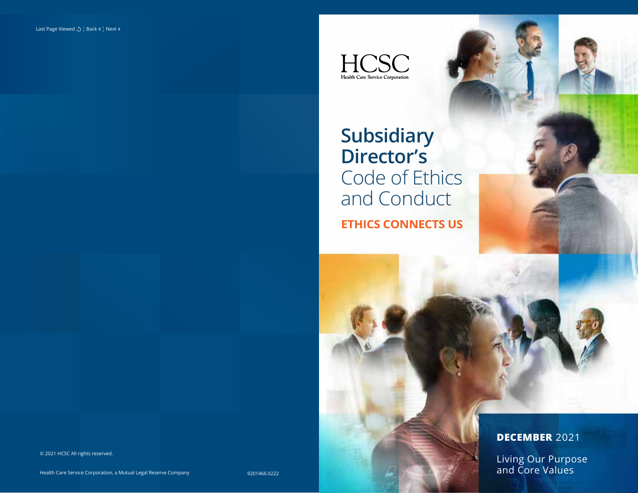$\underset{\text{Health Care Service Corporation}}{\prod}\underset{}{\underset{}{\underset{}{\text{Hedth Caped}}{\bigoplus}}}\underset{}{\underset{}{\underset{}{\text{Hedron}}{\bigoplus}}}\underset{}{\underset{}{\underset{}{\text{Hedron}}{\bigoplus}}}\underset{}{\underset{}{\underset{}{\text{Hedron}}{\bigoplus}}}\underset{}{\underset{}{\underset{}{\text{Hedron}}{\bigoplus}}}\underset{}{\underset{}{\underset{}{\text{Hedron}}{\bigoplus}}}\underset{}{\underset{}{\underset{}{\text{Hedron}}{\bigoplus}}}\underset{}{\underset{}{\underset{}{\text{Hedron}}{\bigoplus}}}\underset{}{\underset{}{\underset{}{\$ 

**ETHICS CONNECTS US Subsidiary Director's**  Code of Ethics and Conduct

© 2021 HCSC All rights reserved.

# **DECEMBER** 2021

Living Our Purpose and Core Values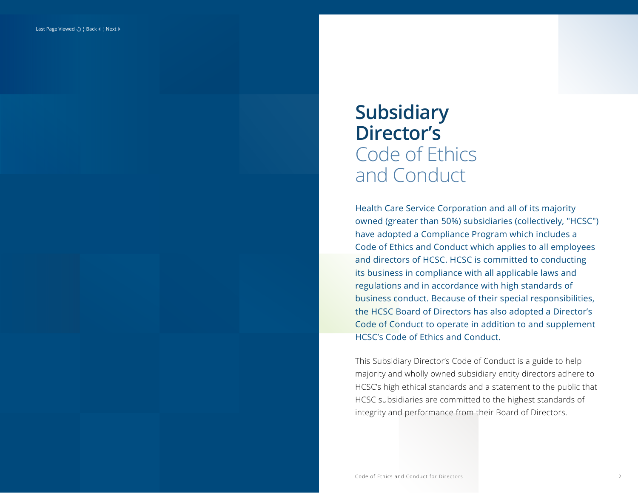# **Subsidiary Director's** Code of Ethics and Conduct

Health Care Service Corporation and all of its majority owned (greater than 50%) subsidiaries (collectively, "HCSC") have adopted a Compliance Program which includes a Code of Ethics and Conduct which applies to all employees and directors of HCSC. HCSC is committed to conducting its business in compliance with all applicable laws and regulations and in accordance with high standards of business conduct. Because of their special responsibilities, the HCSC Board of Directors has also adopted a Director's Code of Conduct to operate in addition to and supplement HCSC's Code of Ethics and Conduct.

This Subsidiary Director's Code of Conduct is a guide to help majority and wholly owned subsidiary entity directors adhere to HCSC's high ethical standards and a statement to the public that HCSC subsidiaries are committed to the highest standards of integrity and performance from their Board of Directors.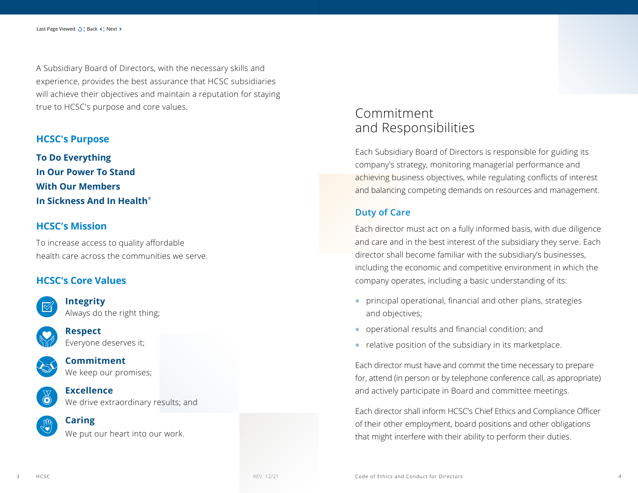A Subsidiary Board of Directors, with the necessary skills and experience, provides the best assurance that HCSC subsidiaries will achieve their objectives and maintain a reputation for staying true to HCSC's purpose and core values.

#### **HCSC's Purpose**

**To Do Everything In Our Power To Stand With Our Members In Sickness And In Health**®

#### **HCSC's Mission**

To increase access to quality affordable health care across the communities we serve.

### **HCSC's Core Values**



**Integrity** Always do the right thing;



**Respect** Everyone deserves it;



**Commitment** We keep our promises;



**Excellence** We drive extraordinary results; and

#### **Caring**

We put our heart into our work.

# Commitment and Responsibilities

Each Subsidiary Board of Directors is responsible for guiding its company's strategy, monitoring managerial performance and achieving business objectives, while regulating conflicts of interest and balancing competing demands on resources and management.

## **Duty of Care**

Each director must act on a fully informed basis, with due diligence and care and in the best interest of the subsidiary they serve. Each director shall become familiar with the subsidiary's businesses, including the economic and competitive environment in which the company operates, including a basic understanding of its:

- **•** principal operational, financial and other plans, strategies and objectives;
- **•** operational results and financial condition; and
- **•** relative position of the subsidiary in its marketplace.

Each director must have and commit the time necessary to prepare for, attend (in person or by telephone conference call, as appropriate) and actively participate in Board and committee meetings.

Each director shall inform HCSC's Chief Ethics and Compliance Officer of their other employment, board positions and other obligations that might interfere with their ability to perform their duties.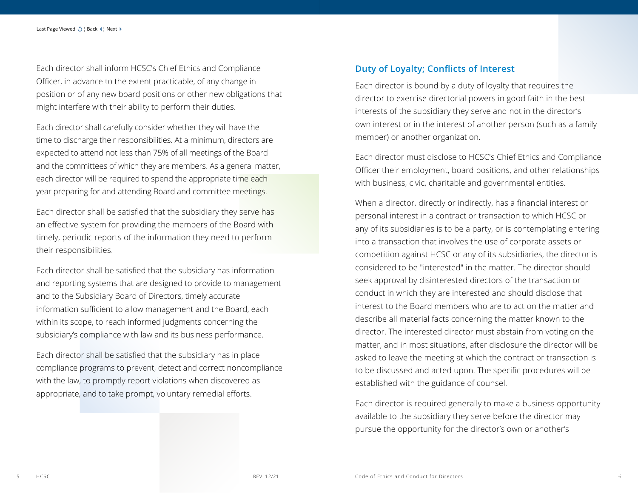Each director shall inform HCSC's Chief Ethics and Compliance Officer, in advance to the extent practicable, of any change in position or of any new board positions or other new obligations that might interfere with their ability to perform their duties.

Each director shall carefully consider whether they will have the time to discharge their responsibilities. At a minimum, directors are expected to attend not less than 75% of all meetings of the Board and the committees of which they are members. As a general matter, each director will be required to spend the appropriate time each year preparing for and attending Board and committee meetings.

Each director shall be satisfied that the subsidiary they serve has an effective system for providing the members of the Board with timely, periodic reports of the information they need to perform their responsibilities.

Each director shall be satisfied that the subsidiary has information and reporting systems that are designed to provide to management and to the Subsidiary Board of Directors, timely accurate information sufficient to allow management and the Board, each within its scope, to reach informed judgments concerning the subsidiary's compliance with law and its business performance.

Each director shall be satisfied that the subsidiary has in place compliance programs to prevent, detect and correct noncompliance with the law, to promptly report violations when discovered as appropriate, and to take prompt, voluntary remedial efforts.

#### **Duty of Loyalty; Conflicts of Interest**

Each director is bound by a duty of loyalty that requires the director to exercise directorial powers in good faith in the best interests of the subsidiary they serve and not in the director's own interest or in the interest of another person (such as a family member) or another organization.

Each director must disclose to HCSC's Chief Ethics and Compliance Officer their employment, board positions, and other relationships with business, civic, charitable and governmental entities.

When a director, directly or indirectly, has a financial interest or personal interest in a contract or transaction to which HCSC or any of its subsidiaries is to be a party, or is contemplating entering into a transaction that involves the use of corporate assets or competition against HCSC or any of its subsidiaries, the director is considered to be "interested" in the matter. The director should seek approval by disinterested directors of the transaction or conduct in which they are interested and should disclose that interest to the Board members who are to act on the matter and describe all material facts concerning the matter known to the director. The interested director must abstain from voting on the matter, and in most situations, after disclosure the director will be asked to leave the meeting at which the contract or transaction is to be discussed and acted upon. The specific procedures will be established with the guidance of counsel.

Each director is required generally to make a business opportunity available to the subsidiary they serve before the director may pursue the opportunity for the director's own or another's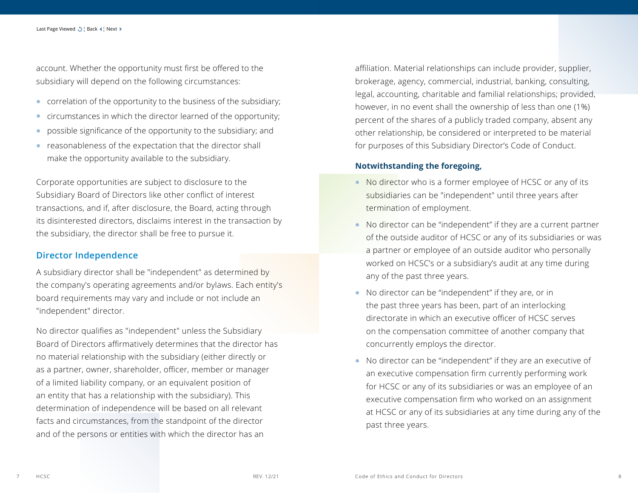account. Whether the opportunity must first be offered to the subsidiary will depend on the following circumstances:

- **•** correlation of the opportunity to the business of the subsidiary;
- **•** circumstances in which the director learned of the opportunity;
- **•** possible significance of the opportunity to the subsidiary; and
- **•** reasonableness of the expectation that the director shall make the opportunity available to the subsidiary.

Corporate opportunities are subject to disclosure to the Subsidiary Board of Directors like other conflict of interest transactions, and if, after disclosure, the Board, acting through its disinterested directors, disclaims interest in the transaction by the subsidiary, the director shall be free to pursue it.

#### **Director Independence**

A subsidiary director shall be "independent" as determined by the company's operating agreements and/or bylaws. Each entity's board requirements may vary and include or not include an "independent" director.

No director qualifies as "independent" unless the Subsidiary Board of Directors affirmatively determines that the director has no material relationship with the subsidiary (either directly or as a partner, owner, shareholder, officer, member or manager of a limited liability company, or an equivalent position of an entity that has a relationship with the subsidiary). This determination of independence will be based on all relevant facts and circumstances, from the standpoint of the director and of the persons or entities with which the director has an

affiliation. Material relationships can include provider, supplier, brokerage, agency, commercial, industrial, banking, consulting, legal, accounting, charitable and familial relationships; provided, however, in no event shall the ownership of less than one (1%) percent of the shares of a publicly traded company, absent any other relationship, be considered or interpreted to be material for purposes of this Subsidiary Director's Code of Conduct.

#### **Notwithstanding the foregoing,**

- **•** No director who is a former employee of HCSC or any of its subsidiaries can be "independent" until three years after termination of employment.
- **•** No director can be "independent" if they are a current partner of the outside auditor of HCSC or any of its subsidiaries or was a partner or employee of an outside auditor who personally worked on HCSC's or a subsidiary's audit at any time during any of the past three years.
- **•** No director can be "independent" if they are, or in the past three years has been, part of an interlocking directorate in which an executive officer of HCSC serves on the compensation committee of another company that concurrently employs the director.
- **•** No director can be "independent" if they are an executive of an executive compensation firm currently performing work for HCSC or any of its subsidiaries or was an employee of an executive compensation firm who worked on an assignment at HCSC or any of its subsidiaries at any time during any of the past three years.